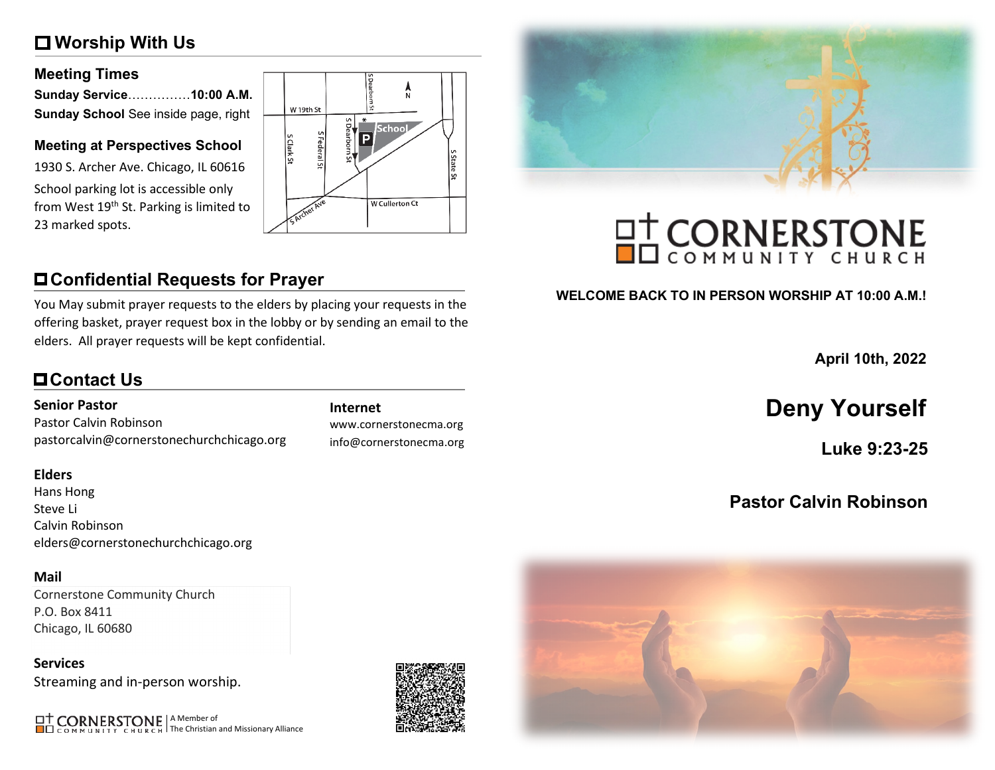# **Worship With Us**

### **Meeting Times**

| Sunday Service10:00 A.M.             |  |
|--------------------------------------|--|
| Sunday School See inside page, right |  |

### **Meeting at Perspectives School**

1930 S. Archer Ave. Chicago, IL 60616 School parking lot is accessible only from West 19<sup>th</sup> St. Parking is limited to 23 marked spots.



# **Confidential Requests for Prayer**

You May submit prayer requests to the elders by placing your requests in the offering basket, prayer request box in the lobby or by sending an email to the elders. All prayer requests will be kept confidential.

# **Contact Us**

### **Senior Pastor**

Pastor Calvin Robinson pastorcalvin@cornerstonechurchchicago.org

### **Elders**

Hans Hong Steve Li Calvin Robinson elders@cornerstonechurchchicago.org

### **Mail**

Cornerstone Community Church P.O. Box 8411 Chicago, IL 60680

**Services** Streaming and in-person worship.

A Member of The Christian and Missionary Alliance

www.cornerstonecma.org info@cornerstonecma.org



# **OT CORNERSTONE**

### **WELCOME BACK TO IN PERSON WORSHIP AT 10:00 A.M.!**

**April 10th, 2022**

# **Internet Deny Yourself**

**Luke 9:23-25**

# **Pastor Calvin Robinson**